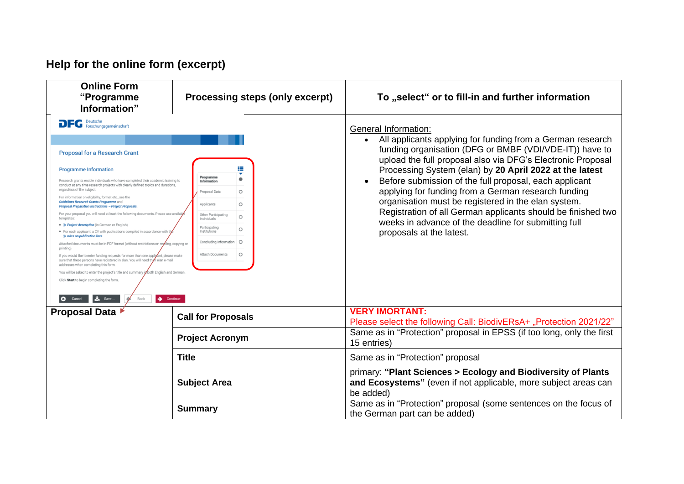## **Help for the online form (excerpt)**

| <b>Online Form</b><br>"Programme<br>Information"                                                                                                                                                                                                                                                                                                                                                                                                                                                                                                                                                                                                                                                                                                                                                                                                                                                                                                                                                                                                                                                                                                                                                                                                                                                                                                                                                                                                                                                                                                            | <b>Processing steps (only excerpt)</b> | To "select" or to fill-in and further information                                                                                                                                                                                                                                                                                                                                                                                                                                                                                                                                                                |
|-------------------------------------------------------------------------------------------------------------------------------------------------------------------------------------------------------------------------------------------------------------------------------------------------------------------------------------------------------------------------------------------------------------------------------------------------------------------------------------------------------------------------------------------------------------------------------------------------------------------------------------------------------------------------------------------------------------------------------------------------------------------------------------------------------------------------------------------------------------------------------------------------------------------------------------------------------------------------------------------------------------------------------------------------------------------------------------------------------------------------------------------------------------------------------------------------------------------------------------------------------------------------------------------------------------------------------------------------------------------------------------------------------------------------------------------------------------------------------------------------------------------------------------------------------------|----------------------------------------|------------------------------------------------------------------------------------------------------------------------------------------------------------------------------------------------------------------------------------------------------------------------------------------------------------------------------------------------------------------------------------------------------------------------------------------------------------------------------------------------------------------------------------------------------------------------------------------------------------------|
| <b>DFG</b> Deutsche<br>Forschungsgemeinschaft<br><b>Proposal for a Research Grant</b><br><b>Programme Information</b><br>Programme<br>Research grants enable individuals who have completed their academic training to<br>Information<br>conduct at any time research projects with clearly defined topics and durations,<br>regardless of the subject.<br>$\circ$<br>Proposal Data<br>For information on eligibility, format etc., see the<br>Guidelines Research Grants Programme and<br>Applicants<br>$\circ$<br>Proposal Preparation Instructions - Project Proposals.<br>For your proposal you will need at least the following documents. Please use availa<br>Other Participating<br>$\circ$<br>templates:<br>Individuals<br>• » Project description (in German or English)<br>Participating<br>$\circ$<br>Institutions<br>• For each applicant: a CV with publications compiled in accordance with<br>» rules on publication lists<br>Concluding Information<br>$\circ$<br>Attached documents must be in PDF format (without restrictions on reading, copying or<br>printing)<br>Attach Documents<br>$\circ$<br>If you would like to enter funding requests for more than one applicant, please make<br>sure that these persons have registered in elan. You will need the<br>r elan e-mail<br>addresses when completing this form<br>You will be asked to enter the project's title and summary in both English and German.<br>Click Start to begin completing the form<br>$\frac{1}{2}$ Save<br><b>3</b> Cancel<br>$\rightarrow$ Continue<br>Back |                                        | General Information:<br>All applicants applying for funding from a German research<br>funding organisation (DFG or BMBF (VDI/VDE-IT)) have to<br>upload the full proposal also via DFG's Electronic Proposal<br>Processing System (elan) by 20 April 2022 at the latest<br>Before submission of the full proposal, each applicant<br>$\bullet$<br>applying for funding from a German research funding<br>organisation must be registered in the elan system.<br>Registration of all German applicants should be finished two<br>weeks in advance of the deadline for submitting full<br>proposals at the latest. |
| <b>Proposal Data</b>                                                                                                                                                                                                                                                                                                                                                                                                                                                                                                                                                                                                                                                                                                                                                                                                                                                                                                                                                                                                                                                                                                                                                                                                                                                                                                                                                                                                                                                                                                                                        | <b>Call for Proposals</b>              | <b>VERY IMORTANT:</b><br>Please select the following Call: BiodivERsA+ "Protection 2021/22"                                                                                                                                                                                                                                                                                                                                                                                                                                                                                                                      |
|                                                                                                                                                                                                                                                                                                                                                                                                                                                                                                                                                                                                                                                                                                                                                                                                                                                                                                                                                                                                                                                                                                                                                                                                                                                                                                                                                                                                                                                                                                                                                             | <b>Project Acronym</b>                 | Same as in "Protection" proposal in EPSS (if too long, only the first<br>15 entries)                                                                                                                                                                                                                                                                                                                                                                                                                                                                                                                             |
| <b>Title</b>                                                                                                                                                                                                                                                                                                                                                                                                                                                                                                                                                                                                                                                                                                                                                                                                                                                                                                                                                                                                                                                                                                                                                                                                                                                                                                                                                                                                                                                                                                                                                |                                        | Same as in "Protection" proposal                                                                                                                                                                                                                                                                                                                                                                                                                                                                                                                                                                                 |
|                                                                                                                                                                                                                                                                                                                                                                                                                                                                                                                                                                                                                                                                                                                                                                                                                                                                                                                                                                                                                                                                                                                                                                                                                                                                                                                                                                                                                                                                                                                                                             | <b>Subject Area</b>                    | primary: "Plant Sciences > Ecology and Biodiversity of Plants<br>and Ecosystems" (even if not applicable, more subject areas can<br>be added)                                                                                                                                                                                                                                                                                                                                                                                                                                                                    |
|                                                                                                                                                                                                                                                                                                                                                                                                                                                                                                                                                                                                                                                                                                                                                                                                                                                                                                                                                                                                                                                                                                                                                                                                                                                                                                                                                                                                                                                                                                                                                             | <b>Summary</b>                         | Same as in "Protection" proposal (some sentences on the focus of<br>the German part can be added)                                                                                                                                                                                                                                                                                                                                                                                                                                                                                                                |